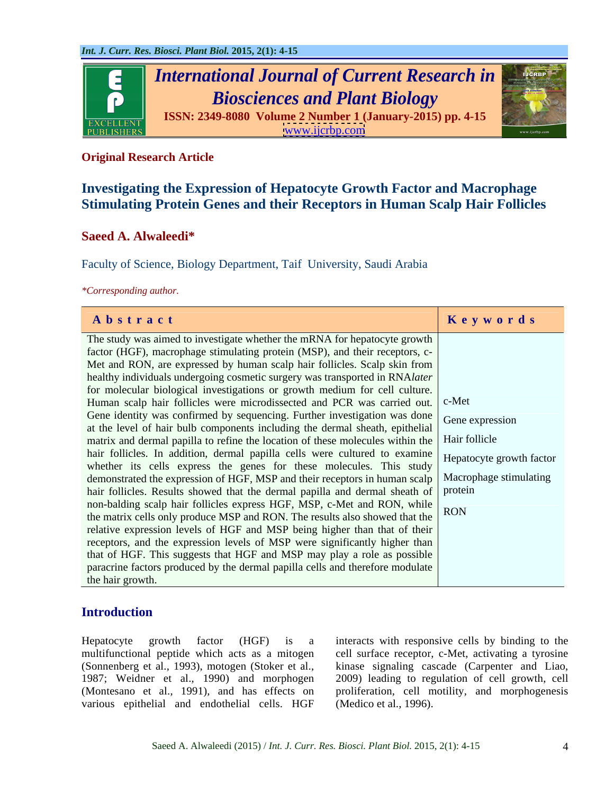

# **Original Research Article**

# **Investigating the Expression of Hepatocyte Growth Factor and Macrophage Stimulating Protein Genes and their Receptors in Human Scalp Hair Follicles**

# **Saeed A. Alwaleedi\***

Faculty of Science, Biology Department, Taif University, Saudi Arabia

*\*Corresponding author.*

| Abstract                                                                                            | Keywords |
|-----------------------------------------------------------------------------------------------------|----------|
| The study was aimed to investigate whether the mRNA for hepatocyte growth                           |          |
| factor (HGF), macrophage stimulating protein (MSP), and their receptors, c-                         |          |
| Met and RON, are expressed by human scalp hair follicles. Scalp skin from                           |          |
| healthy individuals undergoing cosmetic surgery was transported in RNAlater                         |          |
| for molecular biological investigations or growth medium for cell culture.                          |          |
| Human scalp hair follicles were microdissected and PCR was carried out. c-Met                       |          |
| Gene identity was confirmed by sequencing. Further investigation was done Gene expression           |          |
| at the level of hair bulb components including the dermal sheath, epithelial                        |          |
| matrix and dermal papilla to refine the location of these molecules within the   Hair follicle      |          |
| hair follicles. In addition, dermal papilla cells were cultured to examine Hepatocyte growth factor |          |
| whether its cells express the genes for these molecules. This study                                 |          |
| demonstrated the expression of HGF, MSP and their receptors in human scalp   Macrophage stimulating |          |
| hair follicles. Results showed that the dermal papilla and dermal sheath of protein                 |          |
| non-balding scalp hair follicles express HGF, MSP, c-Met and RON, while                             |          |
| the matrix cells only produce MSP and RON. The results also showed that the $\vert$ RON             |          |
| relative expression levels of HGF and MSP being higher than that of their                           |          |
| receptors, and the expression levels of MSP were significantly higher than                          |          |
| that of HGF. This suggests that HGF and MSP may play a role as possible                             |          |
| paracrine factors produced by the dermal papilla cells and therefore modulate                       |          |
| the hair growth.                                                                                    |          |

# **Introduction**

Hepatocyte growth factor (HGF) is a interacts with responsive cells by binding to the multifunctional peptide which acts as a mitogen (Sonnenberg et al., 1993), motogen (Stoker et al., 1987; Weidner et al., 1990) and morphogen 2009) leading to regulation of cell growth, cell (Montesano et al., 1991), and has effects on proliferation, cell motility, and morphogenesis various epithelial and endothelial cells. HGF

cell surface receptor, c-Met, activating a tyrosine kinase signaling cascade (Carpenter and Liao, (Medico et al., 1996).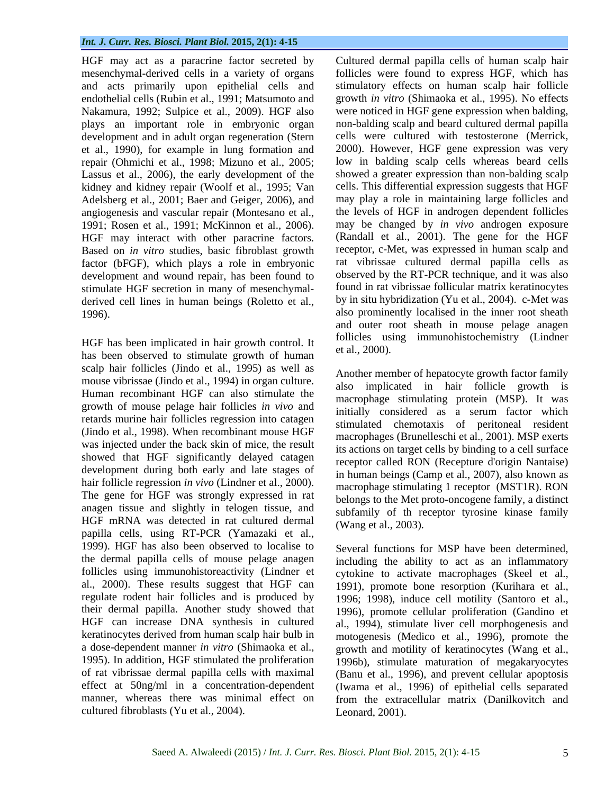and acts primarily upon epithelial cells and endothelial cells (Rubin et al., 1991; Matsumoto and plays an important role in embryonic organ development and in adult organ regeneration (Stern repair (Ohmichi et al., 1998; Mizuno et al., 2005; Lassus et al., 2006), the early development of the kidney and kidney repair (Woolf et al., 1995; Van Adelsberg et al., 2001; Baer and Geiger, 2006), and angiogenesis and vascular repair (Montesano et al., 1991; Rosen et al., 1991; McKinnon et al., 2006). HGF may interact with other paracrine factors. Based on *in vitro* studies, basic fibroblast growth factor (bFGF), which plays a role in embryonic development and wound repair, has been found to stimulate HGF secretion in many of mesenchymal derived cell lines in human beings (Roletto et al.,

has been observed to stimulate growth of human scalp hair follicles (Jindo et al., 1995) as well as mouse vibrissae (Jindo et al., 1994) in organ culture. Human recombinant HGF can also stimulate the growth of mouse pelage hair follicles *in vivo* and retards murine hair follicles regression into catagen (Jindo et al., 1998). When recombinant mouse HGF was injected under the back skin of mice, the result showed that HGF significantly delayed catagen development during both early and late stages of hair follicle regression *in vivo* (Lindner et al., 2000). The gene for HGF was strongly expressed in rat anagen tissue and slightly in telogen tissue, and HGF mRNA was detected in rat cultured dermal papilla cells, using RT-PCR (Yamazaki et al., 1999). HGF has also been observed to localise to the dermal papilla cells of mouse pelage anagen including the ability to act as an inflammatory follicles using immunohistoreactivity (Lindner et cytokine to activate macrophages (Skeel et al., al., 2000). These results suggest that HGF can regulate rodent hair follicles and is produced by 1996; 1998), induce cell motility (Santoro et al., their dermal papilla. Another study showed that HGF can increase DNA synthesis in cultured al., 1994), stimulate liver cell morphogenesis and keratinocytes derived from human scalp hair bulb in motogenesis (Medico et al., 1996), promote the a dose-dependent manner *in vitro* (Shimaoka et al., growth and motility of keratinocytes (Wang et al., 1995). In addition, HGF stimulated the proliferation 1996b), stimulate maturation of megakaryocytes of rat vibrissae dermal papilla cells with maximal effect at 50ng/ml in a concentration-dependent (Iwama et al., 1996) of epithelial cells separated manner, whereas there was minimal effect on from the extracellular matrix (Danilkovitch and cultured fibroblasts (Yu et al., 2004).

HGF may act as a paracrine factor secreted by Cultured dermal papilla cells of human scalp hair mesenchymal-derived cells in a variety of organs follicles were found to express HGF, which has Nakamura, 1992; Sulpice et al., 2009). HGF also were noticed in HGF gene expression when balding, et al., 1990), for example in lung formation and 2000). However, HGF gene expression was very 1996). also prominently localised in the inner root sheath HGF has been implicated in hair growth control. It follicles using immunohistochemistry (Lindner et al., 2000). stimulatory effects on human scalp hair follicle growth *in vitro* (Shimaoka et al., 1995). No effects non-balding scalp and beard cultured dermal papilla cells were cultured with testosterone (Merrick, low in balding scalp cells whereas beard cells showed a greater expression than non-balding scalp cells. This differential expression suggests that HGF may play a role in maintaining large follicles and the levels of HGF in androgen dependent follicles may be changed by *in vivo* androgen exposure (Randall et al., 2001). The gene for the HGF receptor, c-Met, was expressed in human scalp and rat vibrissae cultured dermal papilla cells as observed by the RT-PCR technique, and it was also found in rat vibrissae follicular matrix keratinocytes by in situ hybridization (Yu et al., 2004). c-Met was and outer root sheath in mouse pelage anagen follicles using immunohistochemistry (Lindner et al., 2000).

> Another member of hepatocyte growth factor family also implicated in hair follicle growth is macrophage stimulating protein (MSP). It was initially considered as a serum factor which stimulated chemotaxis of peritoneal resident macrophages (Brunelleschi et al., 2001). MSP exerts its actions on target cells by binding to a cell surface receptor called RON (Recepture d'origin Nantaise) in human beings (Camp et al., 2007), also known as macrophage stimulating 1 receptor (MST1R). RON belongs to the Met proto-oncogene family, a distinct subfamily of th receptor tyrosine kinase family (Wang et al., 2003).

> Several functions for MSP have been determined, 1991), promote bone resorption (Kurihara et al., 1996), promote cellular proliferation (Gandino et (Banu et al., 1996), and prevent cellular apoptosis Leonard, 2001).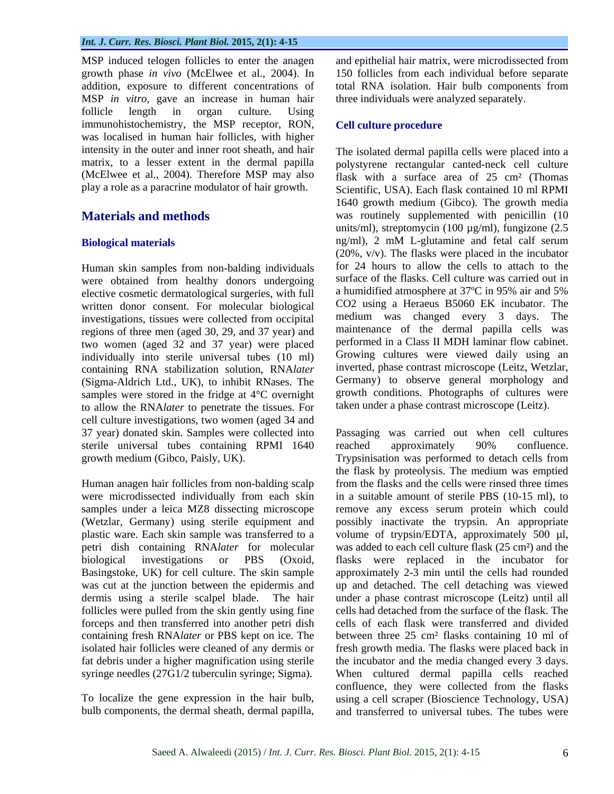MSP induced telogen follicles to enter the anagen and epithelial hair matrix, were microdissected from growth phase *in vivo* (McElwee et al., 2004). In 150 follicles from each individual before separate addition, exposure to different concentrations of total RNA isolation. Hair bulb components from MSP *in vitro*, gave an increase in human hair follicle length in organ culture. Using immunohistochemistry, the MSP receptor, RON, was localised in human hair follicles, with higher intensity in the outer and inner root sheath, and hair The isolated dermal papilla cells were placed into a play a role as a paracrine modulator of hair growth.

Human skin samples from non-balding individuals were obtained from healthy donors undergoing elective cosmetic dermatological surgeries, with full written donor consent. For molecular biological investigations, tissues were collected from occipital regions of three men (aged 30, 29, and 37 year) and two women (aged 32 and 37 year) were placed individually into sterile universal tubes (10 ml) containing RNA stabilization solution, RNA*later* (Sigma-Aldrich Ltd., UK), to inhibit RNases. The samples were stored in the fridge at 4°C overnight to allow the RNA*later* to penetrate the tissues. For cell culture investigations, two women (aged 34 and sterile universal tubes containing RPMI 1640 reached approximately 90% confluence.

were microdissected individually from each skin follicles were pulled from the skin gently using fine

bulb components, the dermal sheath, dermal papilla,

three individuals were analyzed separately.

## **Cell culture procedure**

matrix, to a lesser extent in the dermal papilla polystyrene rectangular canted-neck cell culture (McElwee et al., 2004). Therefore MSP may also flask with a surface area of 25 cm² (Thomas **Materials and methods** was routinely supplemented with penicillin (10 **Biological materials** ng/ml), 2 mM L-glutamine and fetal calf serum Scientific, USA). Each flask contained 10 ml RPMI 1640 growth medium (Gibco). The growth media units/ml), streptomycin (100  $\mu$ g/ml), fungizone (2.5 ng/ml), 2 mM L-glutamine and fetal calf serum (20%, v/v). The flasks were placed in the incubator for 24 hours to allow the cells to attach to the surface of the flasks. Cell culture was carried out in a humidified atmosphere at 37ºC in 95% air and 5% CO2 using a Heraeus B5060 EK incubator. The medium was changed every 3 days. The maintenance of the dermal papilla cells was performed in a Class II MDH laminar flow cabinet. Growing cultures were viewed daily using an inverted, phase contrast microscope (Leitz, Wetzlar, Germany) to observe general morphology and growth conditions. Photographs of cultures were taken under a phase contrast microscope (Leitz).

37 year) donated skin. Samples were collected into Passaging was carried out when cell cultures growth medium (Gibco, Paisly, UK). Trypsinisation was performed to detach cells from Human anagen hair follicles from non-balding scalp from the flasks and the cells were rinsed three times samples under a leica MZ8 dissecting microscope remove any excess serum protein which could (Wetzlar, Germany) using sterile equipment and possibly inactivate the trypsin. An appropriate plastic ware. Each skin sample was transferred to a volume of trypsin/EDTA, approximately 500 µl, petri dish containing RNA*later* for molecular was added to each cell culture flask (25 cm²) and the biological investigations or PBS (Oxoid, flasks were replaced in the incubator for Basingstoke, UK) for cell culture. The skin sample approximately 2-3 min until the cells had rounded was cut at the junction between the epidermis and up and detached. The cell detaching was viewed dermis using a sterile scalpel blade. The hair under a phase contrast microscope (Leitz) until all forceps and then transferred into another petri dish cells of each flask were transferred and divided containing fresh RNA*later* or PBS kept on ice. The between three 25 cm² flasks containing 10 ml of isolated hair follicles were cleaned of any dermis or fresh growth media. The flasks were placed back in fat debris under a higher magnification using sterile the incubator and the media changed every 3 days. syringe needles (27G1/2 tuberculin syringe; Sigma). When cultured dermal papilla cells reached To localize the gene expression in the hair bulb, using a cell scraper (Bioscience Technology, USA) reached approximately 90% confluence. the flask by proteolysis. The medium was emptied in a suitable amount of sterile PBS (10-15 ml), to cells had detached from the surface of the flask. The confluence, they were collected from the flasks and transferred to universal tubes. The tubes were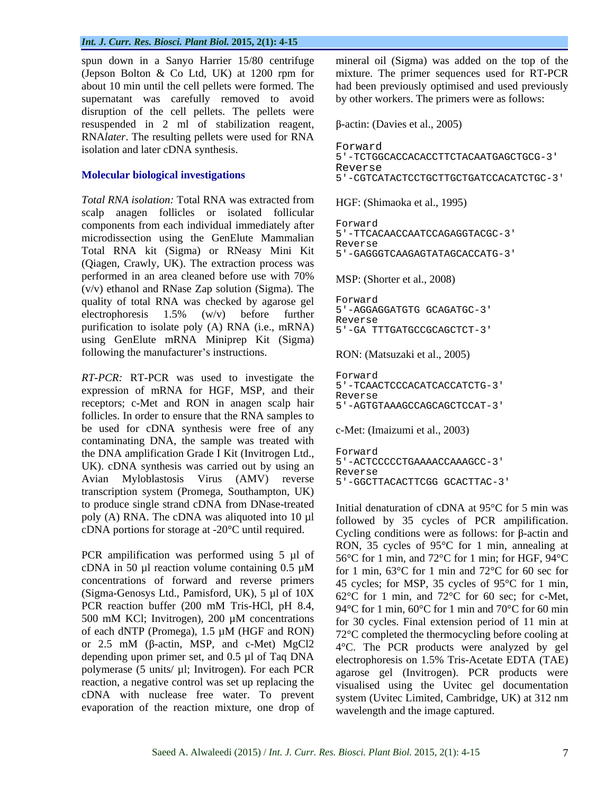spun down in a Sanyo Harrier 15/80 centrifuge mineral oil (Sigma) was added on the top of the (Jepson Bolton & Co Ltd, UK) at 1200 rpm for mixture. The primer sequences used forRT-PCR about 10 min until the cell pellets were formed. The had been previously optimised and used previously supernatant was carefully removed to avoid by other workers. The primers were as follows: disruption of the cell pellets. The pellets were resuspended in 2 ml of stabilization reagent,  $\beta$ -actin: (Davies et al., 2005) RNA*later*. The resulting pellets were used for RNA<br>isolation and later cDNA synthesis isolation and later cDNA synthesis.

*Total RNA isolation:* Total RNA was extracted from scalp anagen follicles or isolated follicular<br>components from each individual immediately after Forward components from each individual immediately after microdissection using the GenElute Mammalian  $R_{\text{everse}}$ Total RNA kit (Sigma) or RNeasy Mini Kit (Qiagen, Crawly, UK). The extraction process was performed in an area cleaned before use with 70% (v/v) ethanol and RNase Zap solution (Sigma). The quality of total RNA was checked by agarose gel electrophoresis  $1.5\%$  (w/v) before further  $5^{+}$ -AGGAGGATGTGGCAGATGC-3 purification to isolate poly (A) RNA (i.e., mRNA)  $E_{1-GA}$   $E_{1-GA}$ using GenElute mRNA Miniprep Kit (Sigma) following the manufacturer's instructions.

*RT-PCR:* RT-PCR was used to investigate the Forward expression of mRNA for HGF, MSP, and their  $\frac{5}{R_{\text{e}} \cdot 10^{14}}$ receptors; c-Met and RON in anagen scalp hair follicles. In order to ensure that the RNA samples to be used for cDNA synthesis were free of any contaminating DNA, the sample was treated with the DNA amplification Grade I Kit (Invitrogen Ltd., UK). cDNA synthesis was carried out by using an  $\frac{5}{2}$ -ACTC Avian Myloblastosis Virus (AMV) reverse 5'-GGCTTACACTTCGG GCACTTAC-3' transcription system (Promega, Southampton, UK) to produce single strand cDNA from DNase-treated poly (A) RNA. The cDNA was aliquoted into 10 µl cDNA portions for storage at -20°C until required.

PCR ampilification was performed using 5 µl of cDNA in 50  $\mu$ l reaction volume containing 0.5  $\mu$ M concentrations of forward and reverse primers (Sigma-Genosys Ltd., Pamisford, UK), 5 µl of 10X PCR reaction buffer (200 mM Tris-HCl, pH 8.4, of each dNTP (Promega), 1.5 µM (HGF and RON) or 2.5 mM ( $\beta$ -actin, MSP, and c-Met) MgCl2 depending upon primer set, and 0.5 µl of Taq DNA polymerase (5 units/ µl; Invitrogen). For each PCR reaction, a negative control was set up replacing the cDNA with nuclease free water. To prevent evaporation of the reaction mixture, one drop of by other workers. The primers were as follows:<br> $\beta$ -actin: (Davies et al., 2005)

```
Molecular biological investigations<br>
5'-CGTCATACTCCTGCTTGCTGATCCACATCTGC-3'
                                  Forward
                                  5'-TCTGGCACCACACCTTCTACAATGAGCTGCG-3'
                                  Reverse and the set of the set of the set of the set of the set of the set of the set of the set of the set of the set of the set of the set of the set of the set of the set of the set of the set of the set of the set of t
```
HGF: (Shimaoka et al., 1995)

```
Forward
5'-TTCACAACCAATCCAGAGGTACGC-3'
Reverse and the set of the set of the set of the set of the set of the set of the set of the set of the set of the set of the set of the set of the set of the set of the set of the set of the set of the set of the set of t
5'-GAGGGTCAAGAGTATAGCACCATG-3'
```
MSP: (Shorter et al., 2008)

```
Forward
5'-AGGAGGATGTG GCAGATGC-3'
Reverse and the set of the set of the set of the set of the set of the set of the set of the set of the set of the set of the set of the set of the set of the set of the set of the set of the set of the set of the set of t
5'-GA TTTGATGCCGCAGCTCT-3'
```
RON: (Matsuzaki et al., 2005)

```
Forward
5'-TCAACTCCCACATCACCATCTG-3'
Reverse and the set of the set of the set of the set of the set of the set of the set of the set of the set of the set of the set of the set of the set of the set of the set of the set of the set of the set of the set of t
5'-AGTGTAAAGCCAGCAGCTCCAT-3'
```
c-Met: (Imaizumi et al., 2003)

```
Forward
5'-ACTCCCCCTGAAAACCAAAGCC-3'
Reverse and the set of the set of the set of the set of the set of the set of the set of the set of the set of the set of the set of the set of the set of the set of the set of the set of the set of the set of the set of t
```
500 mM KCl; Invitrogen), 200  $\mu$ M concentrations for 30 cycles. Final extension period of 11 min at Initial denaturation of cDNA at 95°C for 5 min was followed by 35 cycles of PCR ampilification. Cycling conditions were as follows: for  $\beta$ -actin and RON, 35 cycles of 95°C for 1 min, annealing at 56°C for 1 min, and 72°C for 1 min; for HGF, 94°C for 1 min, 63°C for 1 min and 72°C for 60 sec for 45 cycles; for MSP, 35 cycles of 95°C for 1 min, 62°C for 1 min, and 72°C for 60 sec; for c-Met, 94 °C for 1 min, 60 °C for 1 min and 70 °C for 60 min for 30 cycles. Final extension period of 11 min at 72°C completed the thermocycling before cooling at 4°C. The PCR products were analyzed by gel electrophoresis on 1.5% Tris-Acetate EDTA (TAE) agarose gel (Invitrogen). PCR products were visualised using the Uvitec gel documentation system (Uvitec Limited, Cambridge, UK) at 312 nm wavelength and the image captured.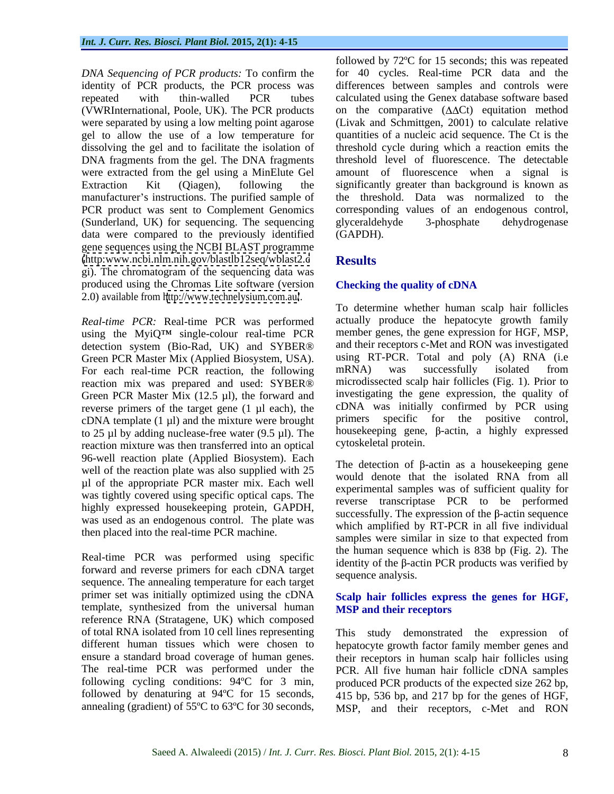identity of PCR products, the PCR process was gel to allow the use of a low temperature for DNA fragments from the gel. The DNA fragments were extracted from the gel using a MinElute Gel manufacturer's instructions. The purified sample of PCR product was sent to Complement Genomics (Sunderland, UK) for sequencing. The sequencing data were compared to the previously identified (GAPDH). gene sequences using the NCBI BLAST programme [\(http:www.ncbi.nlm.nih.gov/blastlb12seq/wblast2.c](http:www.ncbi.nlm.nih.gov/blastlb12seq/wblast2.c) gi). The chromatogram of the sequencing data was produced using the Chromas Lite software (version 2.0) available from <http://www.technelysium.com.au/>.

*Real-time PCR:* Real-time PCR was performed using the MyiQ<sup>TM</sup> single-colour real-time PCR detection system (Bio-Rad, UK) and SYBER® reaction mix was prepared and used: SYBER® Green PCR Master Mix (12.5 µl), the forward and reverse primers of the target gene (1 µl each), the  $cDNA$  template  $(1 \mu l)$  and the mixture were brought to 25 µl by adding nuclease-free water  $(9.5 \text{ µl})$ . The reaction mixture was then transferred into an optical 96-well reaction plate (Applied Biosystem). Each well of the reaction plate was also supplied with 25 µl of the appropriate PCR master mix. Each well was tightly covered using specific optical caps. The highly expressed housekeeping protein, GAPDH, was used as an endogenous control. The plate was then placed into the real-time PCR machine.

Real-time PCR was performed using specific forward and reverse primers for each cDNA target sequence. The annealing temperature for each target primer set was initially optimized using the cDNA template, synthesized from the universal human reference RNA (Stratagene, UK) which composed followed by denaturing at 94ºC for 15 seconds,

*followed by* 72°C for 15 seconds; this was repeated<br>*DNA Sequencing of PCR products:* To confirm the for 40 cycles. Real-time PCR data and the repeated with thin-walled PCR tubes calculated using the Genex database software based (VWRInternational, Poole, UK). The PCR products on the comparative  $(\Delta \Delta Ct)$  equitation method were separated by using a low melting point agarose (Livak and Schmittgen, 2001) to calculate relative dissolving the gel and to facilitate the isolation of threshold cycle during which a reaction emits the Extraction Kit (Qiagen), following the significantly greater than background is known as followed by 72ºC for 15 seconds; this was repeated for 40 cycles. Real-time PCR data and the differences between samples and controls were quantities of a nucleic acid sequence. The Ct is the threshold level of fluorescence. The detectable amount of fluorescence when a signal is the threshold. Data was normalized to the corresponding values of an endogenous control, glyceraldehyde 3**-**phosphate dehydrogenase (GAPDH).

# **Results**

## **Checking the quality of cDNA**

Green PCR Master Mix (Applied Biosystem, USA). using RT-PCR. Total and poly (A) RNA (i.e<br>For each real-time PCR reaction, the following mRNA) was successfully isolated from To determine whether human scalp hair follicles actually produce the hepatocyte growth family member genes, the gene expression for HGF, MSP, and their receptors c-Met and RON was investigated using RT-PCR. Total and poly (A) RNA (i.e mRNA) was successfully isolated from microdissected scalp hair follicles (Fig. 1). Prior to investigating the gene expression, the quality of cDNA was initially confirmed by PCR using primers specific for the positive control, housekeeping gene,  $\beta$ -actin, a highly expressed cytoskeletal protein.

> The detection of  $\beta$ -actin as a house keeping gene would denote that the isolated RNA from all experimental samples was of sufficient quality for reverse transcriptase PCR to be performed successfully. The expression of the  $\beta$ -actin sequence which amplified by RT-PCR in all five individual samples were similar in size to that expected from the human sequence which is 838 bp (Fig. 2). The identity of the  $\beta$ -actin PCR products was verified by sequence analysis.

## **Scalp hair follicles express the genes for HGF, MSP and their receptors**

of total RNA isolated from 10 cell lines representing This study demonstrated the expression of different human tissues which were chosen to hepatocyte growth factor family member genes and ensure a standard broad coverage of human genes. their receptors in human scalp hair follicles using The real-time PCR was performed under the PCR. All five human hair follicle cDNA samples following cycling conditions: 94°C for 3 min, produced PCR products of the expected size 262 bp, annealing (gradient) of 55°C to 63°C for 30 seconds, MSP, and their receptors, c-Met and RON 415 bp, 536 bp, and 217 bp for the genes of HGF,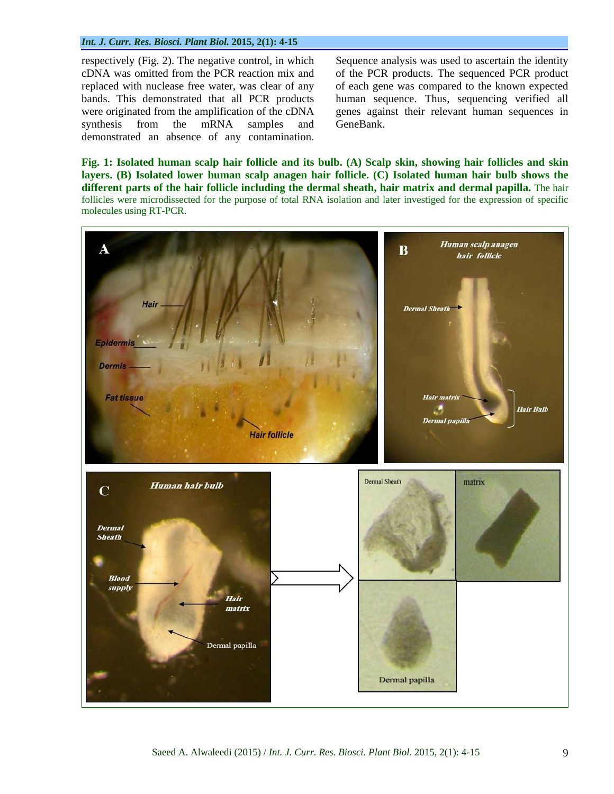respectively (Fig. 2). The negative control, in which Sequence analysis was used to ascertain the identity synthesis from the mRNA samples and GeneBank. respectively (Fig. 2). The negative control, in which<br>cDNA was omitted from the PCR reaction mix and<br>replaced with nuclease free water, was clear of any<br>bands. This demonstrated that all PCR products<br>were originated from t

cDNA was omitted from the PCR reaction mix and of the PCR products. The sequenced PCR product replaced with nuclease free water, was clear of any of each gene was compared to the known expected bands. This demonstrated that all PCR products human sequence. Thus, sequencing verified all were originated from the amplification of the cDNA genes against their relevant human sequences in GeneBank.

Fig. 1: Isolated human scalp hair follicle and its bulb. (A) Scalp skin, showing hair follicles and skin **layers. (B) Isolated lower human scalp anagen hair follicle. (C) Isolated human hair bulb shows the different parts of the hair follicle including the dermal sheath, hairmatrix and dermal papilla.** The hair follicles were microdissected for the purpose of total RNA isolation and later investiged for the expression of specific molecules using RT-PCR.

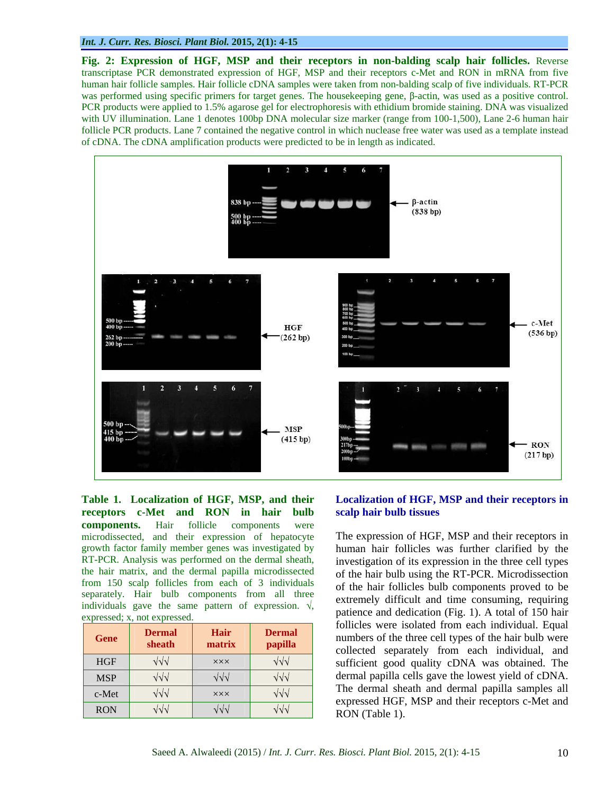**Fig. 2: Expression of HGF, MSP and their receptors in non-balding scalp hair follicles.** Reverse transcriptase PCR demonstrated expression of HGF, MSP and their receptors c-Met and RON in mRNA from five human hair follicle samples. Hair follicle cDNA samples were taken from non-balding scalp of five individuals. RT-PCR was performed using specific primers for target genes. The housekeeping gene,  $\beta$ -actin, was used as a positive control. PCR products were applied to 1.5% agarose gel for electrophoresis with ethidium bromide staining. DNA was visualized with UV illumination. Lane 1 denotes 100bp DNA molecular size marker (range from 100-1,500), Lane 2-6 human hair follicle PCR products. Lane 7 contained the negative control in which nuclease free water was used as a template instead of cDNA. The cDNA amplification products were predicted to be in length as indicated.



**Table 1. Localization of HGF, MSP, and their Localization of HGF, MSP and their receptors in receptors c-Met and RON in hair bulb components.** Hair follicle components were microdissected, and their expression of hepatocyte The expression of HGF, MSP and their receptors in growth factor family member genes was investigated by human hair follicles was further clarified by the RT-PCR. Analysis was performed on the dermal sheath, investigation of its expression in the three cell types the hair matrix, and the dermal papilla microdissected from 150 scalp follicles from each of 3 individuals separately. Hair bulb components from all three individuals gave the same pattern of expression.  $\sqrt{ }$ ,

| <b>Gene</b> | <b>Dermal</b><br>sheath | <b>Hair</b><br>matrix | <b>Dermal</b><br>papilla |
|-------------|-------------------------|-----------------------|--------------------------|
| <b>HGF</b>  | $\sqrt{\sqrt{}}$        | <b>XXX</b>            | $\sqrt{\sqrt{}}$         |
| <b>MSP</b>  | $\sqrt{\sqrt{}}$        | $\sqrt{2}$            | $\sqrt{\sqrt{}}$         |
| c-Met       | $\sqrt{\sqrt{}}$        | <b>XXX</b>            | $\sqrt{\sqrt{}}$         |
| <b>RON</b>  | $\sqrt{\sqrt{}}$        | ง/ง/ง                 | $\sqrt{2}$               |

# **scalp hair bulb tissues**

expressed; x, not expressed.<br>
expressed. Gene **Dermal Hair Dermal Dermal Dermal Exercise** were **Exercise** with the three cell types of the hair bulb were **sheath matrix papilla** collected separately from each individual, and HGF  $\sqrt{\sqrt{1-\frac{1}{2}} \times 1}$   $\sqrt{\sqrt{1-\frac{1}{2}} \times 1}$  sufficient good quality cDNA was obtained. The MSP  $\begin{vmatrix} \sqrt{\sqrt{1-\frac{1}{\sqrt{1-\frac{1}{\sqrt{1-\frac{1}{\sqrt{1-\frac{1}{\sqrt{1-\frac{1}{\sqrt{1-\frac{1}{\sqrt{1-\frac{1}{\sqrt{1-\frac{1}{\sqrt{1-\frac{1}{\sqrt{1-\frac{1}{\sqrt{1-\frac{1}{\sqrt{1-\frac{1}{\sqrt{1-\frac{1}{\sqrt{1-\frac{1}{\sqrt{1-\frac{1}{\sqrt{1-\frac{1}{\sqrt{1-\frac{1}{\sqrt{1-\frac{1}{\sqrt{1-\frac{1}{\sqrt{1-\frac{1}{\sqrt{1-\frac{1}{\sqrt{1-\frac{1}{\sqrt{1-\frac{1}{\$ c-Met  $\sqrt{v}$   $\times x$   $\times \sqrt{v}$  including such an element papiral samples and  $RON$   $\sqrt{v}$   $\sqrt{v}$   $\sqrt{v}$   $\sqrt{v}$   $\sqrt{v}$   $\sqrt{RON}$  (Table 1) of the hair bulb using the RT-PCR. Microdissection of the hair follicles bulb components proved to be extremely difficult and time consuming, requiring follicles were isolated from each individual. Equal The dermal sheath and dermal papilla samples all expressed HGF, MSP and their receptors c-Met and RON (Table 1).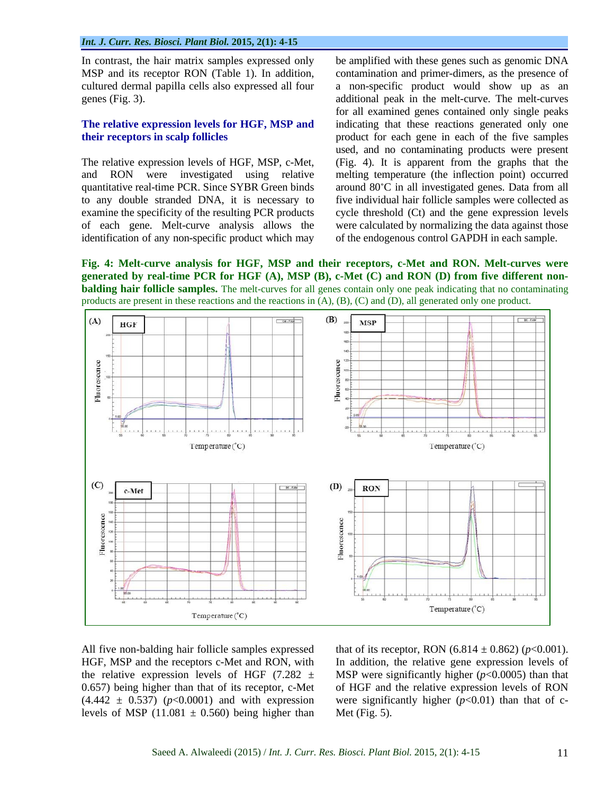identification of any non-specific product which may

In contrast, the hair matrix samples expressed only be amplified with these genes such as genomic DNA MSP and its receptor RON (Table 1). In addition, contamination and primer-dimers, as the presence of cultured dermal papilla cells also expressed all four a non-specific product would show up as an genes (Fig. 3). additional peak in the melt-curve. The melt-curves **The relative expression levels for HGF, MSP and** indicating that these reactions generated only one **their receptors in scalp follicles** product for each gene in each of the five samples The relative expression levels of HGF, MSP, c-Met, (Fig. 4). It is apparent from the graphs that the and RON were investigated using relative melting temperature (the inflection point) occurred quantitative real-time PCR. Since SYBR Green binds around 80°C in all investigated genes. Data from all to any double stranded DNA, it is necessary to five individual hair follicle samples were collected as examine the specificity of the resulting PCR products cycle threshold (Ct) and the gene expression levels of each gene. Melt-curve analysis allows the were calculated by normalizing the data against those for all examined genes contained only single peaks used, and no contaminating products were present of the endogenous control GAPDH in each sample.

**Fig. 4: Melt-curve analysis for HGF, MSP and their receptors, c-Met and RON. Melt-curves were generated by real-time PCR for HGF (A), MSP (B), c-Met (C) and RON (D) from five different non balding hair <b>follicle** samples. The melt-curves for all genes contain only one peak indicating that no contaminating products are present in these reactions and the reactions in (A), (B), (C) and (D), all generated only one product.



All five non-balding hair follicle samples expressed that of its receptor, RON  $(6.814 \pm 0.862)$  ( $p$ <0.001). HGF, MSP and the receptors c-Met and RON, with In addition, the relative gene expression levels of the relative expression levels of HGF  $(7.282 \pm$  MSP were significantly higher  $(p<0.0005)$  than that 0.657) being higher than that of its receptor, c-Met of HGF and the relative expression levels of RON  $(4.442 \pm 0.537)$  ( $p<0.0001$ ) and with expression levels of MSP (11.081  $\pm$  0.560) being higher than

were significantly higher  $(p<0.01)$  than that of c-Met (Fig. 5).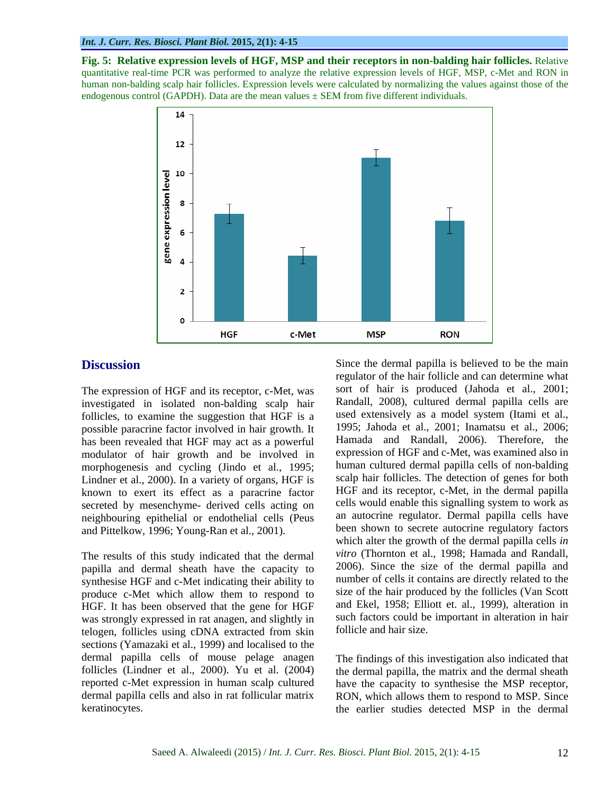**Fig. 5: Relative expression levels of HGF, MSP and their receptors in non-balding hair follicles.** Relative quantitative real-time PCR was performed to analyze the relative expression levels of HGF, MSP, c-Met and RON in human non-balding scalp hair follicles. Expression levels were calculated by normalizing the values against those of the endogenous control (GAPDH). Data are the mean values  $\pm$  SEM from five different individuals.



The expression of HGF and its receptor, c-Met, was investigated in isolated non-balding scalp hair follicles, to examine the suggestion that HGF is a possible paracrine factor involved in hair growth. It has been revealed that HGF may act as a powerful modulator of hair growth and be involved in morphogenesis and cycling (Jindo et al., 1995; Lindner et al., 2000). In a variety of organs, HGF is known to exert its effect as a paracrine factor secreted by mesenchyme- derived cells acting on neighbouring epithelial or endothelial cells (Peus and Pittelkow, 1996; Young-Ran et al., 2001).

The results of this study indicated that the dermal papilla and dermal sheath have the capacity to synthesise HGF and c-Met indicating their ability to produce c-Met which allow them to respond to HGF. It has been observed that the gene for HGF was strongly expressed in rat anagen, and slightly in telogen, follicles using cDNA extracted from skin sections (Yamazaki et al., 1999) and localised to the dermal papilla cells of mouse pelage anagen follicles (Lindner et al., 2000). Yu et al. (2004) reported c-Met expression in human scalp cultured have the capacity to synthesise the MSP receptor, dermal papilla cells and also in rat follicular matrix RON, which allows them to respond to MSP. Since

**Discussion** Since the dermal papilla is believed to be the main regulator of the hair follicle and can determine what sort of hair is produced (Jahoda et al., 2001; Randall, 2008), cultured dermal papilla cells are used extensively as a model system (Itami et al., 1995; Jahoda et al., 2001; Inamatsu et al., 2006; Hamada and Randall, 2006). Therefore, the expression of HGF and c-Met, was examined also in human cultured dermal papilla cells of non-balding scalp hair follicles. The detection of genes for both HGF and its receptor, c-Met, in the dermal papilla cells would enable this signalling system to work as an autocrine regulator. Dermal papilla cells have been shown to secrete autocrine regulatory factors which alter the growth of the dermal papilla cells *in vitro* (Thornton et al., 1998; Hamada and Randall, 2006). Since the size of the dermal papilla and number of cells it contains are directly related to the size of the hair produced by the follicles (Van Scott and Ekel, 1958; Elliott et. al., 1999), alteration in such factors could be important in alteration in hair follicle and hair size.

keratinocytes. the earlier studies detected MSP in the dermalThe findings of this investigation also indicated that the dermal papilla, the matrix and the dermal sheath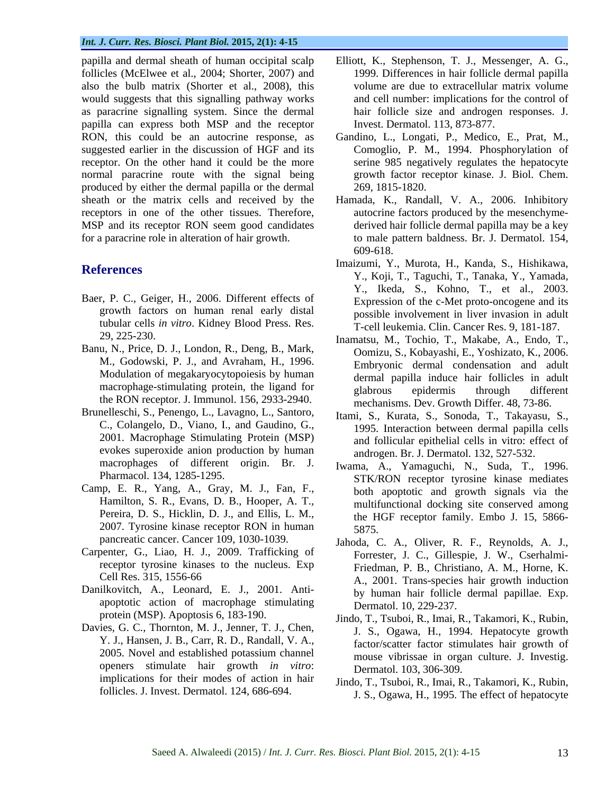follicles (McElwee et al., 2004; Shorter, 2007) and also the bulb matrix (Shorter et al., 2008), this would suggests that this signalling pathway works as paracrine signalling system. Since the dermal papilla can express both MSP and the receptor suggested earlier in the discussion of HGF and its receptor. On the other hand it could be the more normal paracrine route with the signal being produced by either the dermal papilla or the dermal sheath or the matrix cells and received by the Hamada, K., Randall, V. A., 2006. Inhibitory receptors in one of the other tissues. Therefore, MSP and its receptor RON seem good candidates for a paracrine role in alteration of hair growth. to male pattern baldness. Br. J. Dermatol. 154,

- Baer, P. C., Geiger, H., 2006. Different effects of growth factors on human renal early distal tubular cells *in vitro*. Kidney Blood Press. Res.
- Banu, N., Price, D. J., London, R., Deng, B., Mark, M., Godowski, P. J., and Avraham, H., 1996. Modulation of megakaryocytopoiesis by human the RON receptor. J. Immunol. 156, 2933-2940.
- Brunelleschi, S., Penengo, L., Lavagno, L., Santoro, C., Colangelo, D., Viano, I., and Gaudino, G., 2001. Macrophage Stimulating Protein (MSP) evokes superoxide anion production by human macrophages of different origin. Br. J.
- Camp, E. R., Yang, A., Gray, M. J., Fan, F., Hamilton, S. R., Evans, D. B., Hooper, A. T., Pereira, D. S., Hicklin, D. J., and Ellis, L. M., 2007. Tyrosine kinase receptor RON in human 5875.
- Carpenter, G., Liao, H. J., 2009. Trafficking of receptor tyrosine kinases to the nucleus. Exp
- Danilkovitch, A., Leonard, E. J., 2001. Anti apoptotic action of macrophage stimulating
- Davies, G. C., Thornton, M. J., Jenner, T. J., Chen, openers stimulate hair growth *in vitro*: implications for their modes of action in hair
- papilla and dermal sheath of human occipital scalp Elliott, K., Stephenson, T. J., Messenger, A. G., 1999. Differences in hair follicle dermal papilla volume are due to extracellular matrix volume and cell number: implications for the control of hair follicle size and androgen responses. J. Invest. Dermatol. 113, 873-877.
- RON, this could be an autocrine response, as Gandino, L., Longati, P., Medico, E., Prat, M., Comoglio, P. M., 1994. Phosphorylation of serine 985 negatively regulates the hepatocyte growth factor receptor kinase. J. Biol. Chem. 269, 1815-1820.
	- autocrine factors produced by the mesenchyme derived hair follicle dermal papilla may be a key 609-618.
- **References**<br>
Y., Koji, T., Taguchi, T., Tanaka, Y., Yamada, Imaizumi, Y., Murota, H., Kanda, S., Hishikawa, Y., Ikeda, S., Kohno, T., et al., 2003. Expression of the c-Met proto-oncogene and its possible involvement in liver invasion in adult T-cell leukemia. Clin. Cancer Res. 9, 181-187.
	- 29, 225-230. Inamatsu, M., Tochio, T., Makabe, A., Endo, T., macrophage-stimulating protein, the ligand for **glabrous** epidermis through different Oomizu, S., Kobayashi, E., Yoshizato, K., 2006. Embryonic dermal condensation and adult dermal papilla induce hair follicles in adult glabrous epidermis through different mechanisms. Dev. Growth Differ. 48, 73-86.
		- Itami, S., Kurata, S., Sonoda, T., Takayasu, S., 1995. Interaction between dermal papilla cells and follicular epithelial cells in vitro: effect of androgen. Br. J. Dermatol. 132, 527-532.
	- Pharmacol. 134, 1285-1295.<br>
	STK/RON receptor tyrosine kinase mediates Iwama, A., Yamaguchi, N., Suda, T., 1996. both apoptotic and growth signals via the multifunctional docking site conserved among the HGF receptor family. Embo J. 15, 5866- 5875.
	- pancreatic cancer. Cancer 109, 1030-1039. Jahoda, C. A., Oliver, R. F., Reynolds, A. J., Cell Res. 315, 1556-66 A., 2001. Trans-species hair growth induction Forrester, J. C., Gillespie, J. W., Cserhalmi- Friedman, P. B., Christiano, A. M., Horne, K. by human hair follicle dermal papillae. Exp. Dermatol. 10, 229-237.
	- protein (MSP). Apoptosis 6, 183-190. Jindo, T., Tsuboi, R., Imai, R., Takamori, K., Rubin, Y. J., Hansen, J. B., Carr, R. D., Randall, V. A.,<br>2005. Novel and established potassium channel mouse vibrissae in organ culture J Investig J. S., Ogawa, H., 1994. Hepatocyte growth factor/scatter factor stimulates hair growth of mouse vibrissae in organ culture. J. Investig. Dermatol. 103, 306-309.
	- follicles. J. Invest. Dermatol. 124, 686-694. J. S., Ogawa, H., 1995. The effect of hepatocyteJindo, T., Tsuboi, R., Imai, R., Takamori, K., Rubin,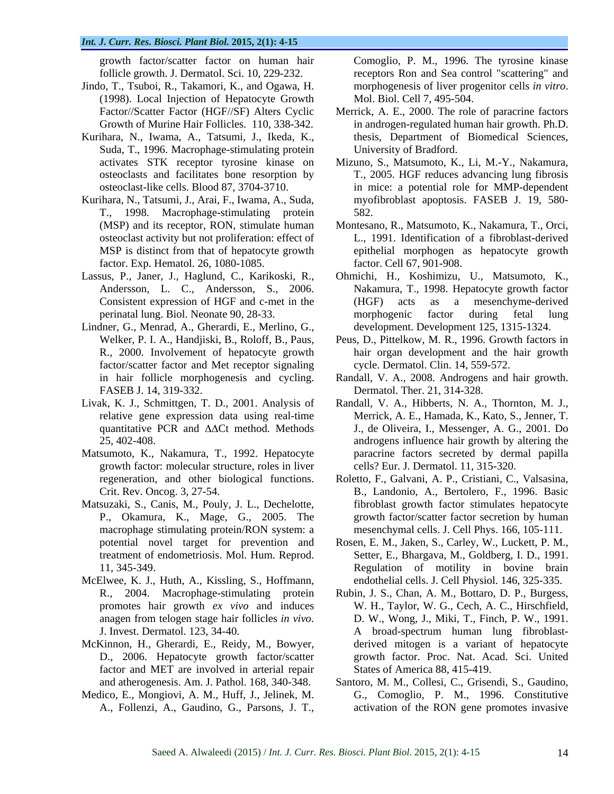- Jindo, T., Tsuboi, R., Takamori, K., and Ogawa, H. morphogenesis of liver progenitor cells in vitro. (1998). Local Injection of Hepatocyte Growth Growth of Murine Hair Follicles. 110, 338-342.
- Kurihara, N., Iwama, A., Tatsumi, J., Ikeda, K., Suda, T., 1996. Macrophage-stimulating protein osteoclasts and facilitates bone resorption by
- Kurihara, N., Tatsumi, J., Arai, F., Iwama, A., Suda, T., 1998. Macrophage-stimulating protein factor. Exp. Hematol. 26, 1080-1085.
- 
- Lindner, G., Menrad, A., Gherardi, E., Merlino, G., R., 2000. Involvement of hepatocyte growth factor/scatter factor and Met receptor signaling FASEB J. 14, 319-332. Dermatol. Ther. 21, 314-328.
- 
- Matsumoto, K., Nakamura, T., 1992. Hepatocyte growth factor: molecular structure, roles in liver
- Matsuzaki, S., Canis, M., Pouly, J. L., Dechelotte, macrophage stimulating protein/RON system: a treatment of endometriosis. Mol. Hum. Reprod.
- McElwee, K. J., Huth, A., Kissling, S., Hoffmann,
- McKinnon, H., Gherardi, E., Reidy, M., Bowyer, factor and MET are involved in arterial repair
- Medico, E., Mongiovi, A. M., Huff, J., Jelinek, M.

growth factor/scatter factor on human hair Comoglio, P. M., 1996. The tyrosine kinase follicle growth. J. Dermatol. Sci. 10, 229-232. receptors Ron and Sea control "scattering" and morphogenesis of liver progenitor cells *in vitro*. Mol. Biol. Cell 7, 495-504.

- Factor//Scatter Factor (HGF//SF) Alters Cyclic Merrick, A. E., 2000. The role of paracrine factors in androgen-regulated human hair growth. Ph.D. thesis, Department of Biomedical Sciences, University of Bradford.
- activates STK receptor tyrosine kinase on Mizuno, S., Matsumoto, K., Li, M.-Y., Nakamura, osteoclast-like cells. Blood 87, 3704-3710. in mice: a potential role for MMP-dependent T., 2005. HGF reduces advancing lung fibrosis myofibroblast apoptosis. FASEB J. 19, 580- 582.
- (MSP) and its receptor, RON, stimulate human Montesano, R., Matsumoto, K., Nakamura, T., Orci, osteoclast activity but not proliferation: effect of L., 1991. Identification of a fibroblast-derived MSP is distinct from that of hepatocyte growth epithelial morphogen as hepatocyte growth factor. Cell 67, 901-908.
- Lassus, P., Janer, J., Haglund, C., Karikoski, R., Ohmichi, H., Koshimizu, U., Matsumoto, K., Andersson, L. C., Andersson, S., 2006. Nakamura, T., 1998. Hepatocyte growth factor Consistent expression of HGF and c-met in the (HGF) acts as a mesenchyme-derived perinatal lung. Biol. Neonate 90, 28-33. (HGF) acts as a mesenchyme-derived morphogenic factor during fetal lung development. Development 125, 1315-1324.
	- Welker, P. I. A., Handjiski, B., Roloff, B., Paus, Peus, D., Pittelkow, M. R., 1996. Growth factors in hair organ development and the hair growth cycle. Dermatol. Clin. 14, 559-572.
	- in hair follicle morphogenesis and cycling. Randall, V. A., 2008. Androgens and hair growth. Randall, V. A., 2008. Androgens and hair growth.<br>Dermatol. Ther. 21, 314-328.
- Livak, K. J., Schmittgen, T. D., 2001. Analysis of Randall, V. A., Hibberts, N. A., Thornton, M. J., relative gene expression data using real-time Merrick, A. E., Hamada, K., Kato, S., Jenner,T. quantitative PCR and  $\Delta\Delta$ Ct method. Methods J., de Oliveira, I., Messenger, A. G., 2001. Do 25, 402-408. androgens influence hair growth by altering the paracrine factors secreted by dermal papilla cells? Eur. J. Dermatol. 11, 315-320.
	- regeneration, and other biological functions. Roletto, F., Galvani, A. P., Cristiani, C., Valsasina, Crit. Rev. Oncog. 3, 27-54. B., Landonio, A., Bertolero, F., 1996. Basic P., Okamura, K., Mage, G., 2005. The growth factor/scatter factor secretion by human fibroblast growth factor stimulates hepatocyte mesenchymal cells. J. Cell Phys. 166, 105-111.
	- potential novel target for prevention and Rosen, E. M., Jaken, S., Carley, W., Luckett, P. M., 11, 345-349. Regulation of motility in bovine brain Setter, E., Bhargava, M., Goldberg, I. D., 1991. endothelial cells. J. Cell Physiol. 146, 325-335.
- R., 2004. Macrophage-stimulating protein Rubin, J. S., Chan, A. M., Bottaro, D. P., Burgess, promotes hair growth *ex vivo* and induces W. H., Taylor, W. G., Cech, A. C., Hirschfield, anagen from telogen stage hair follicles *in vivo*. D. W., Wong, J., Miki, T., Finch, P. W., 1991.<br>
J. Invest. Dermatol. 123, 34-40. A broad-spectrum human lung fibroblast-D., 2006. Hepatocyte growth factor/scatter growth factor. Proc. Nat. Acad. Sci. United growth factor factor factor interests in the Comoglio P. M. 1996. The tyrosine kinase of the state in the tyrosine interests in the state interests in the state interests of the state interests of the state interests of th D. W., Wong, J., Miki, T., Finch, P. W., 1991. A broad-spectrum human lung fibroblast derived mitogen is a variant of hepatocyte States of America 88, 415-419.
	- and atherogenesis. Am. J. Pathol. 168, 340-348. Santoro, M. M., Collesi, C., Grisendi, S., Gaudino, G., Comoglio, P. M., 1996. Constitutive activation of the RON gene promotes invasive